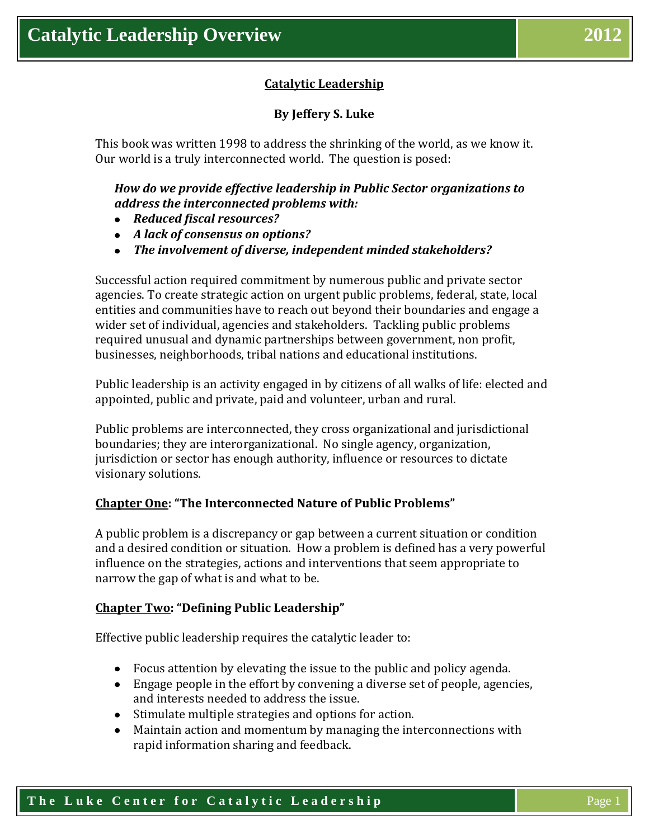# **Catalytic Leadership**

# **By Jeffery S. Luke**

This book was written 1998 to address the shrinking of the world, as we know it. Our world is a truly interconnected world. The question is posed:

# *How do we provide effective leadership in Public Sector organizations to address the interconnected problems with:*

- *Reduced fiscal resources?*
- *A lack of consensus on options?*
- *The involvement of diverse, independent minded stakeholders?*

Successful action required commitment by numerous public and private sector agencies. To create strategic action on urgent public problems, federal, state, local entities and communities have to reach out beyond their boundaries and engage a wider set of individual, agencies and stakeholders. Tackling public problems required unusual and dynamic partnerships between government, non profit, businesses, neighborhoods, tribal nations and educational institutions.

Public leadership is an activity engaged in by citizens of all walks of life: elected and appointed, public and private, paid and volunteer, urban and rural.

Public problems are interconnected, they cross organizational and jurisdictional boundaries; they are interorganizational. No single agency, organization, jurisdiction or sector has enough authority, influence or resources to dictate visionary solutions.

### **Chapter One: "The Interconnected Nature of Public Problems"**

A public problem is a discrepancy or gap between a current situation or condition and a desired condition or situation. How a problem is defined has a very powerful influence on the strategies, actions and interventions that seem appropriate to narrow the gap of what is and what to be.

#### **Chapter Two: "Defining Public Leadership"**

Effective public leadership requires the catalytic leader to:

- Focus attention by elevating the issue to the public and policy agenda.
- Engage people in the effort by convening a diverse set of people, agencies, and interests needed to address the issue.
- Stimulate multiple strategies and options for action.
- Maintain action and momentum by managing the interconnections with rapid information sharing and feedback.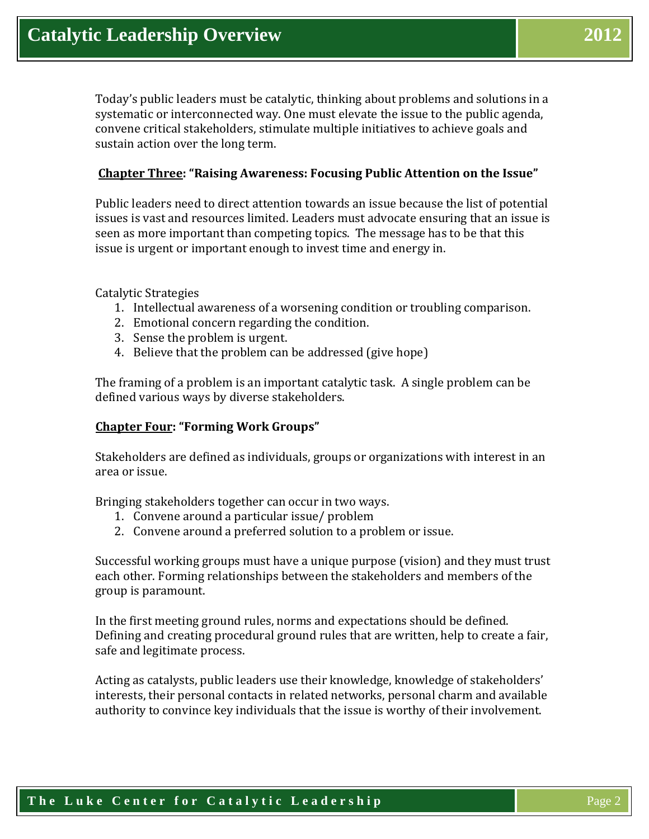Today's public leaders must be catalytic, thinking about problems and solutions in a systematic or interconnected way. One must elevate the issue to the public agenda, convene critical stakeholders, stimulate multiple initiatives to achieve goals and sustain action over the long term.

### **Chapter Three: "Raising Awareness: Focusing Public Attention on the Issue"**

Public leaders need to direct attention towards an issue because the list of potential issues is vast and resources limited. Leaders must advocate ensuring that an issue is seen as more important than competing topics. The message has to be that this issue is urgent or important enough to invest time and energy in.

Catalytic Strategies

- 1. Intellectual awareness of a worsening condition or troubling comparison.
- 2. Emotional concern regarding the condition.
- 3. Sense the problem is urgent.
- 4. Believe that the problem can be addressed (give hope)

The framing of a problem is an important catalytic task. A single problem can be defined various ways by diverse stakeholders.

### **Chapter Four: "Forming Work Groups"**

Stakeholders are defined as individuals, groups or organizations with interest in an area or issue.

Bringing stakeholders together can occur in two ways.

- 1. Convene around a particular issue/ problem
- 2. Convene around a preferred solution to a problem or issue.

Successful working groups must have a unique purpose (vision) and they must trust each other. Forming relationships between the stakeholders and members of the group is paramount.

In the first meeting ground rules, norms and expectations should be defined. Defining and creating procedural ground rules that are written, help to create a fair, safe and legitimate process.

Acting as catalysts, public leaders use their knowledge, knowledge of stakeholders' interests, their personal contacts in related networks, personal charm and available authority to convince key individuals that the issue is worthy of their involvement.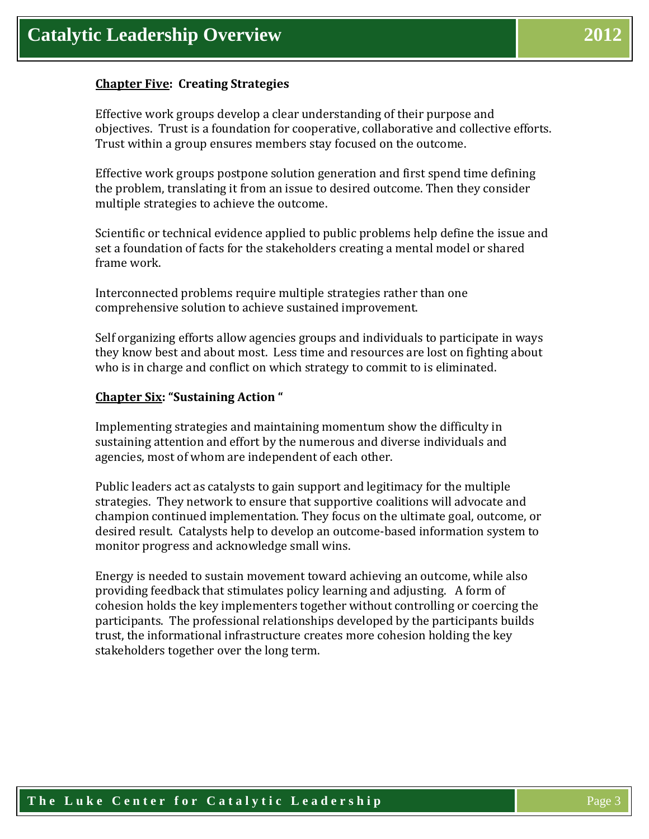### **Chapter Five: Creating Strategies**

Effective work groups develop a clear understanding of their purpose and objectives. Trust is a foundation for cooperative, collaborative and collective efforts. Trust within a group ensures members stay focused on the outcome.

Effective work groups postpone solution generation and first spend time defining the problem, translating it from an issue to desired outcome. Then they consider multiple strategies to achieve the outcome.

Scientific or technical evidence applied to public problems help define the issue and set a foundation of facts for the stakeholders creating a mental model or shared frame work.

Interconnected problems require multiple strategies rather than one comprehensive solution to achieve sustained improvement.

Self organizing efforts allow agencies groups and individuals to participate in ways they know best and about most. Less time and resources are lost on fighting about who is in charge and conflict on which strategy to commit to is eliminated.

### **Chapter Six: "Sustaining Action "**

Implementing strategies and maintaining momentum show the difficulty in sustaining attention and effort by the numerous and diverse individuals and agencies, most of whom are independent of each other.

Public leaders act as catalysts to gain support and legitimacy for the multiple strategies. They network to ensure that supportive coalitions will advocate and champion continued implementation. They focus on the ultimate goal, outcome, or desired result. Catalysts help to develop an outcome-based information system to monitor progress and acknowledge small wins.

Energy is needed to sustain movement toward achieving an outcome, while also providing feedback that stimulates policy learning and adjusting. A form of cohesion holds the key implementers together without controlling or coercing the participants. The professional relationships developed by the participants builds trust, the informational infrastructure creates more cohesion holding the key stakeholders together over the long term.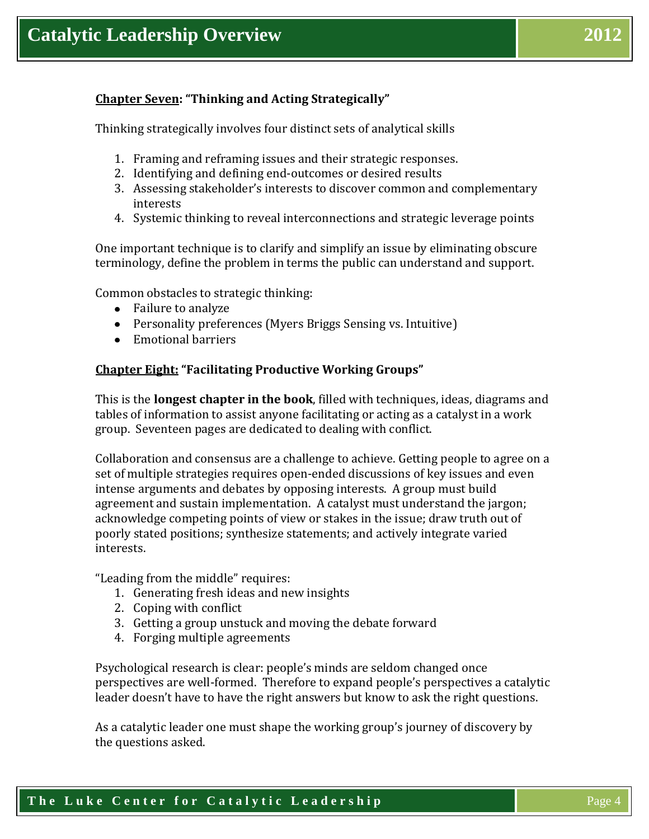# **Chapter Seven: "Thinking and Acting Strategically"**

Thinking strategically involves four distinct sets of analytical skills

- 1. Framing and reframing issues and their strategic responses.
- 2. Identifying and defining end-outcomes or desired results
- 3. Assessing stakeholder's interests to discover common and complementary interests
- 4. Systemic thinking to reveal interconnections and strategic leverage points

One important technique is to clarify and simplify an issue by eliminating obscure terminology, define the problem in terms the public can understand and support.

Common obstacles to strategic thinking:

- Failure to analyze
- Personality preferences (Myers Briggs Sensing vs. Intuitive)
- Emotional barriers

#### **Chapter Eight: "Facilitating Productive Working Groups"**

This is the **longest chapter in the book**, filled with techniques, ideas, diagrams and tables of information to assist anyone facilitating or acting as a catalyst in a work group. Seventeen pages are dedicated to dealing with conflict.

Collaboration and consensus are a challenge to achieve. Getting people to agree on a set of multiple strategies requires open-ended discussions of key issues and even intense arguments and debates by opposing interests. A group must build agreement and sustain implementation. A catalyst must understand the jargon; acknowledge competing points of view or stakes in the issue; draw truth out of poorly stated positions; synthesize statements; and actively integrate varied interests.

"Leading from the middle" requires:

- 1. Generating fresh ideas and new insights
- 2. Coping with conflict
- 3. Getting a group unstuck and moving the debate forward
- 4. Forging multiple agreements

Psychological research is clear: people's minds are seldom changed once perspectives are well-formed. Therefore to expand people's perspectives a catalytic leader doesn't have to have the right answers but know to ask the right questions.

As a catalytic leader one must shape the working group's journey of discovery by the questions asked.